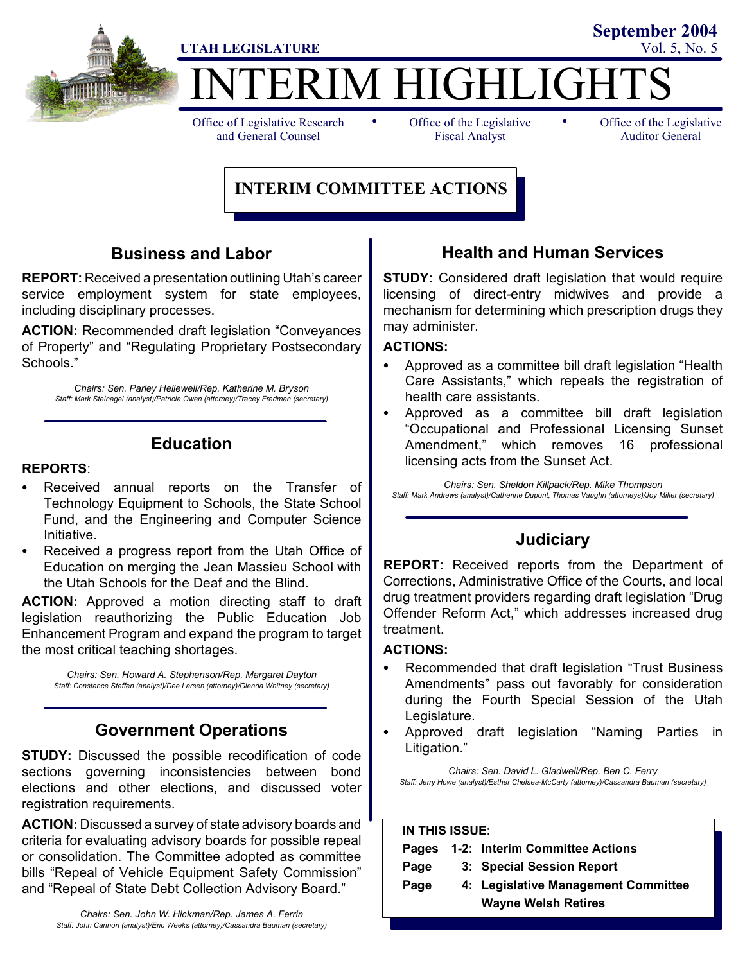

# ERIM HIGHLIGHT UTAH LEGISLATURE Vol. 5, No. 5

Office of Legislative Research and General Counsel

• Office of the Legislative • Fiscal Analyst

Office of the Legislative Auditor General

**September 2004**

## **INTERIM COMMITTEE ACTIONS**

## **Business and Labor**

**REPORT:** Received a presentation outlining Utah's career service employment system for state employees, including disciplinary processes.

**ACTION:** Recommended draft legislation "Conveyances of Property" and "Regulating Proprietary Postsecondary Schools."

*Chairs: Sen. Parley Hellewell/Rep. Katherine M. Bryson Staff: Mark Steinagel (analyst)/Patricia Owen (attorney)/Tracey Fredman (secretary)*

## **Education**

#### **REPORTS**:

- Received annual reports on the Transfer of Technology Equipment to Schools, the State School Fund, and the Engineering and Computer Science Initiative.
- Received a progress report from the Utah Office of Education on merging the Jean Massieu School with the Utah Schools for the Deaf and the Blind.

**ACTION:** Approved a motion directing staff to draft legislation reauthorizing the Public Education Job Enhancement Program and expand the program to target the most critical teaching shortages.

*Chairs: Sen. Howard A. Stephenson/Rep. Margaret Dayton Staff: Constance Steffen (analyst)/Dee Larsen (attorney)/Glenda Whitney (secretary)*

## **Government Operations**

**STUDY:** Discussed the possible recodification of code sections governing inconsistencies between bond elections and other elections, and discussed voter registration requirements.

**ACTION:** Discussed a survey of state advisory boards and criteria for evaluating advisory boards for possible repeal or consolidation. The Committee adopted as committee bills "Repeal of Vehicle Equipment Safety Commission" and "Repeal of State Debt Collection Advisory Board."

## **Health and Human Services**

**STUDY:** Considered draft legislation that would require licensing of direct-entry midwives and provide a mechanism for determining which prescription drugs they may administer.

#### **ACTIONS:**

- Approved as a committee bill draft legislation "Health" Care Assistants," which repeals the registration of health care assistants.
- Approved as a committee bill draft legislation "Occupational and Professional Licensing Sunset Amendment," which removes 16 professional licensing acts from the Sunset Act.

*Chairs: Sen. Sheldon Killpack/Rep. Mike Thompson Staff: Mark Andrews (analyst)/Catherine Dupont, Thomas Vaughn (attorneys)/Joy Miller (secretary)*

## **Judiciary**

**REPORT:** Received reports from the Department of Corrections, Administrative Office of the Courts, and local drug treatment providers regarding draft legislation "Drug Offender Reform Act," which addresses increased drug treatment.

### **ACTIONS:**

- Recommended that draft legislation "Trust Business Amendments" pass out favorably for consideration during the Fourth Special Session of the Utah Legislature.
- Approved draft legislation "Naming Parties in Litigation."

*Chairs: Sen. David L. Gladwell/Rep. Ben C. Ferry Staff: Jerry Howe (analyst)/Esther Chelsea-McCarty (attorney)/Cassandra Bauman (secretary)*

| <b>IN THIS ISSUE:</b> |  |                                                                   |
|-----------------------|--|-------------------------------------------------------------------|
| Pages                 |  | 1-2: Interim Committee Actions                                    |
| Page                  |  | 3: Special Session Report                                         |
| Page                  |  | 4: Legislative Management Committee<br><b>Wayne Welsh Retires</b> |
|                       |  |                                                                   |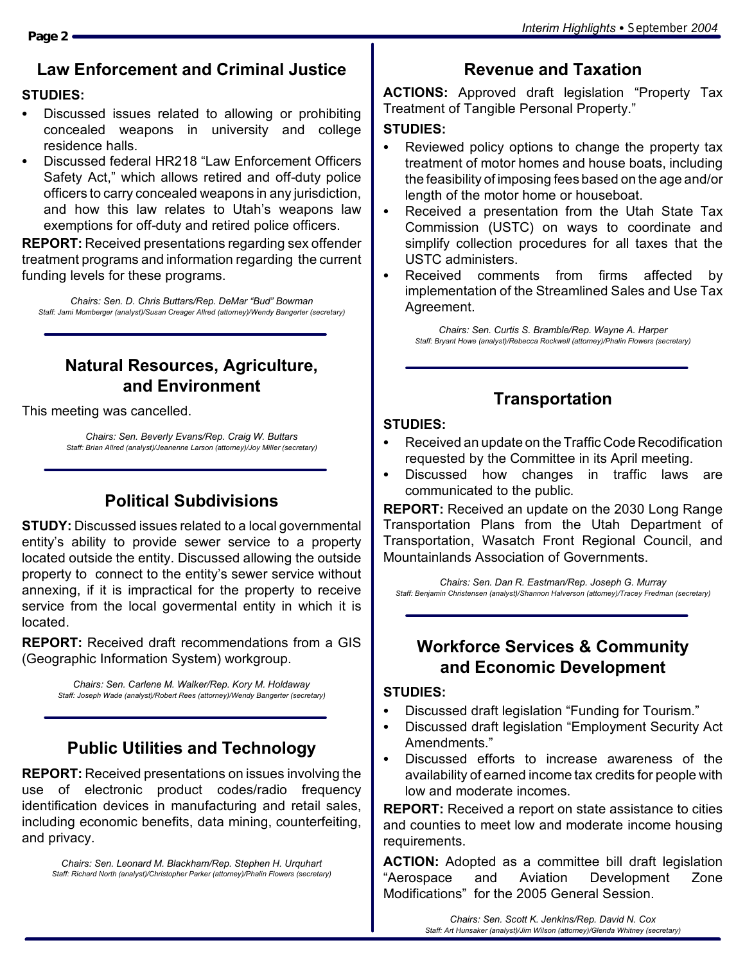## **Law Enforcement and Criminal Justice**

## **STUDIES:**

- Discussed issues related to allowing or prohibiting concealed weapons in university and college residence halls.
- Discussed federal HR218 "Law Enforcement Officers Safety Act," which allows retired and off-duty police officers to carry concealed weapons in any jurisdiction, and how this law relates to Utah's weapons law exemptions for off-duty and retired police officers.

**REPORT:** Received presentations regarding sex offender treatment programs and information regarding the current funding levels for these programs.

*Chairs: Sen. D. Chris Buttars/Rep. DeMar "Bud" Bowman Staff: Jami Momberger (analyst)/Susan Creager Allred (attorney)/Wendy Bangerter (secretary)*

## **Natural Resources, Agriculture, and Environment**

This meeting was cancelled.

*Chairs: Sen. Beverly Evans/Rep. Craig W. Buttars Staff: Brian Allred (analyst)/Jeanenne Larson (attorney)/Joy Miller (secretary)*

## **Political Subdivisions**

**STUDY:** Discussed issues related to a local governmental entity's ability to provide sewer service to a property located outside the entity. Discussed allowing the outside property to connect to the entity's sewer service without annexing, if it is impractical for the property to receive service from the local govermental entity in which it is located.

**REPORT:** Received draft recommendations from a GIS (Geographic Information System) workgroup.

> *Chairs: Sen. Carlene M. Walker/Rep. Kory M. Holdaway Staff: Joseph Wade (analyst)/Robert Rees (attorney)/Wendy Bangerter (secretary)*

## **Public Utilities and Technology**

**REPORT:** Received presentations on issues involving the use of electronic product codes/radio frequency identification devices in manufacturing and retail sales, including economic benefits, data mining, counterfeiting, and privacy.

*Chairs: Sen. Leonard M. Blackham/Rep. Stephen H. Urquhart Staff: Richard North (analyst)/Christopher Parker (attorney)/Phalin Flowers (secretary)*

## **Revenue and Taxation**

**ACTIONS:** Approved draft legislation "Property Tax Treatment of Tangible Personal Property."

## **STUDIES:**

- Reviewed policy options to change the property tax treatment of motor homes and house boats, including the feasibility of imposing fees based on the age and/or length of the motor home or houseboat.
- Received a presentation from the Utah State Tax Commission (USTC) on ways to coordinate and simplify collection procedures for all taxes that the USTC administers.
- Received comments from firms affected by implementation of the Streamlined Sales and Use Tax Agreement.

*Chairs: Sen. Curtis S. Bramble/Rep. Wayne A. Harper Staff: Bryant Howe (analyst)/Rebecca Rockwell (attorney)/Phalin Flowers (secretary)*

## **Transportation**

#### **STUDIES:**

- Received an update on the Traffic Code Recodification requested by the Committee in its April meeting.
- Discussed how changes in traffic laws are communicated to the public.

**REPORT:** Received an update on the 2030 Long Range Transportation Plans from the Utah Department of Transportation, Wasatch Front Regional Council, and Mountainlands Association of Governments.

*Chairs: Sen. Dan R. Eastman/Rep. Joseph G. Murray Staff: Benjamin Christensen (analyst)/Shannon Halverson (attorney)/Tracey Fredman (secretary)*

## **Workforce Services & Community and Economic Development**

#### **STUDIES:**

- Discussed draft legislation "Funding for Tourism."
- Discussed draft legislation "Employment Security Act Amendments."
- Discussed efforts to increase awareness of the availability of earned income tax credits for people with low and moderate incomes.

**REPORT:** Received a report on state assistance to cities and counties to meet low and moderate income housing requirements.

**ACTION:** Adopted as a committee bill draft legislation "Aerospace and Aviation Development Zone Modifications" for the 2005 General Session.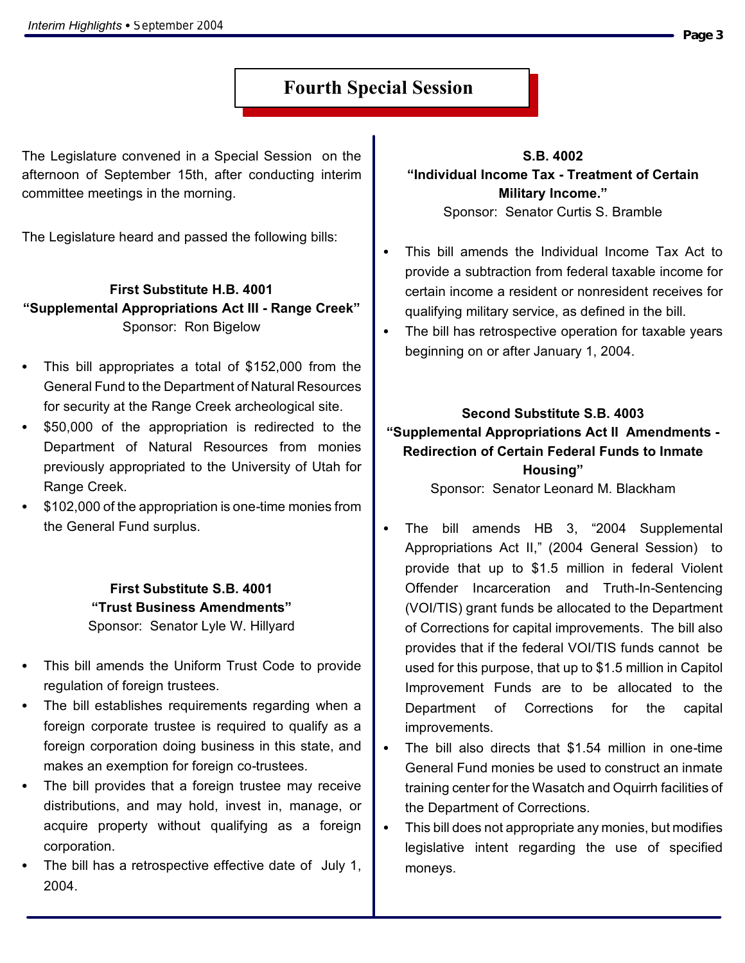## **Fourth Special Session**

The Legislature convened in a Special Session on the afternoon of September 15th, after conducting interim committee meetings in the morning.

The Legislature heard and passed the following bills:

## **First Substitute H.B. 4001 "Supplemental Appropriations Act III - Range Creek"** Sponsor: Ron Bigelow

- This bill appropriates a total of  $$152,000$  from the General Fund to the Department of Natural Resources for security at the Range Creek archeological site.
- \$50,000 of the appropriation is redirected to the Department of Natural Resources from monies previously appropriated to the University of Utah for Range Creek.
- S \$102,000 of the appropriation is one-time monies from the General Fund surplus.

**First Substitute S.B. 4001 "Trust Business Amendments"** Sponsor: Senator Lyle W. Hillyard

- This bill amends the Uniform Trust Code to provide regulation of foreign trustees.
- The bill establishes requirements regarding when a foreign corporate trustee is required to qualify as a foreign corporation doing business in this state, and makes an exemption for foreign co-trustees.
- The bill provides that a foreign trustee may receive distributions, and may hold, invest in, manage, or acquire property without qualifying as a foreign corporation.
- The bill has a retrospective effective date of July 1, 2004.

**S.B. 4002 "Individual Income Tax - Treatment of Certain Military Income."** Sponsor: Senator Curtis S. Bramble

- This bill amends the Individual Income Tax Act to provide a subtraction from federal taxable income for certain income a resident or nonresident receives for qualifying military service, as defined in the bill.
- The bill has retrospective operation for taxable years beginning on or after January 1, 2004.

**Second Substitute S.B. 4003 "Supplemental Appropriations Act II Amendments - Redirection of Certain Federal Funds to Inmate Housing"** Sponsor: Senator Leonard M. Blackham

- The bill amends HB 3, "2004 Supplemental Appropriations Act II," (2004 General Session) to provide that up to \$1.5 million in federal Violent Offender Incarceration and Truth-In-Sentencing (VOI/TIS) grant funds be allocated to the Department of Corrections for capital improvements. The bill also provides that if the federal VOI/TIS funds cannot be used for this purpose, that up to \$1.5 million in Capitol Improvement Funds are to be allocated to the Department of Corrections for the capital improvements.
- The bill also directs that \$1.54 million in one-time General Fund monies be used to construct an inmate training center for the Wasatch and Oquirrh facilities of the Department of Corrections.
- This bill does not appropriate any monies, but modifies legislative intent regarding the use of specified moneys.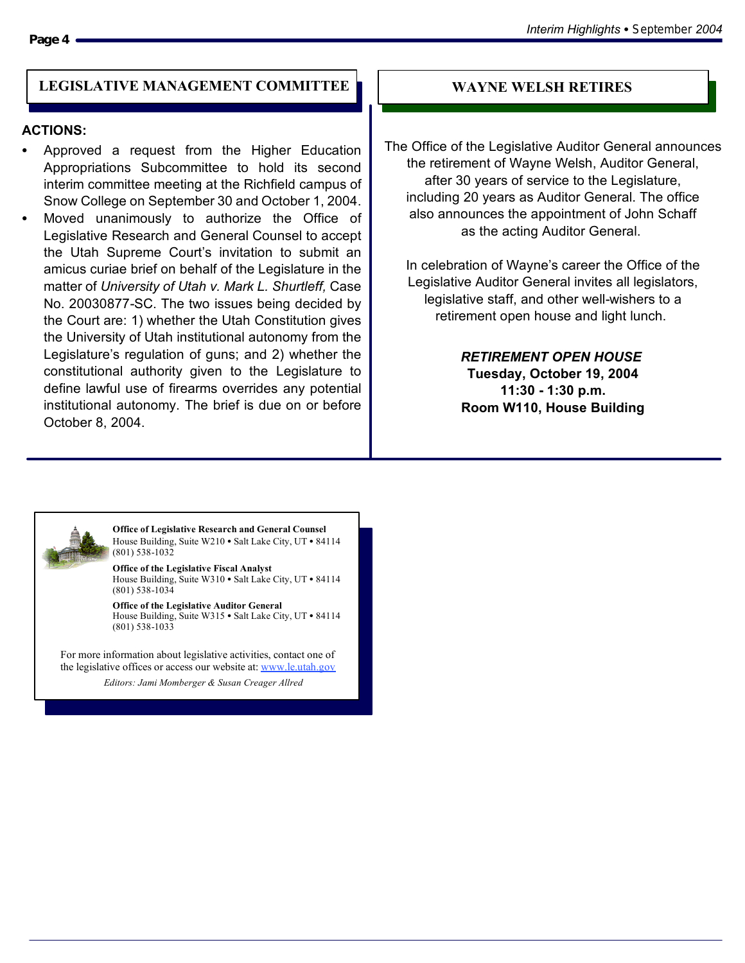#### LEGISLATIVE MANAGEMENT COMMITTEE **WAYNE WELSH RETIRES**

#### **ACTIONS:**

- Approved a request from the Higher Education Appropriations Subcommittee to hold its second interim committee meeting at the Richfield campus of Snow College on September 30 and October 1, 2004.
- Moved unanimously to authorize the Office of Legislative Research and General Counsel to accept the Utah Supreme Court's invitation to submit an amicus curiae brief on behalf of the Legislature in the matter of *University of Utah v. Mark L. Shurtleff,* Case No. 20030877-SC. The two issues being decided by the Court are: 1) whether the Utah Constitution gives the University of Utah institutional autonomy from the Legislature's regulation of guns; and 2) whether the constitutional authority given to the Legislature to define lawful use of firearms overrides any potential institutional autonomy. The brief is due on or before October 8, 2004.

The Office of the Legislative Auditor General announces the retirement of Wayne Welsh, Auditor General, after 30 years of service to the Legislature, including 20 years as Auditor General. The office also announces the appointment of John Schaff as the acting Auditor General.

In celebration of Wayne's career the Office of the Legislative Auditor General invites all legislators, legislative staff, and other well-wishers to a retirement open house and light lunch.

> *RETIREMENT OPEN HOUSE* **Tuesday, October 19, 2004 11:30 - 1:30 p.m. Room W110, House Building**



**Office of Legislative Research and General Counsel** House Building, Suite W210 · Salt Lake City, UT · 84114 (801) 538-1032

**Office of the Legislative Fiscal Analyst** House Building, Suite W310 · Salt Lake City, UT · 84114 (801) 538-1034

**Office of the Legislative Auditor General** House Building, Suite W315  $\bullet$  Salt Lake City, UT  $\bullet$  84114 (801) 538-1033

For more information about legislative activities, contact one of the legislative offices or access our website at: www.le.utah.gov

*Editors: Jami Momberger & Susan Creager Allred*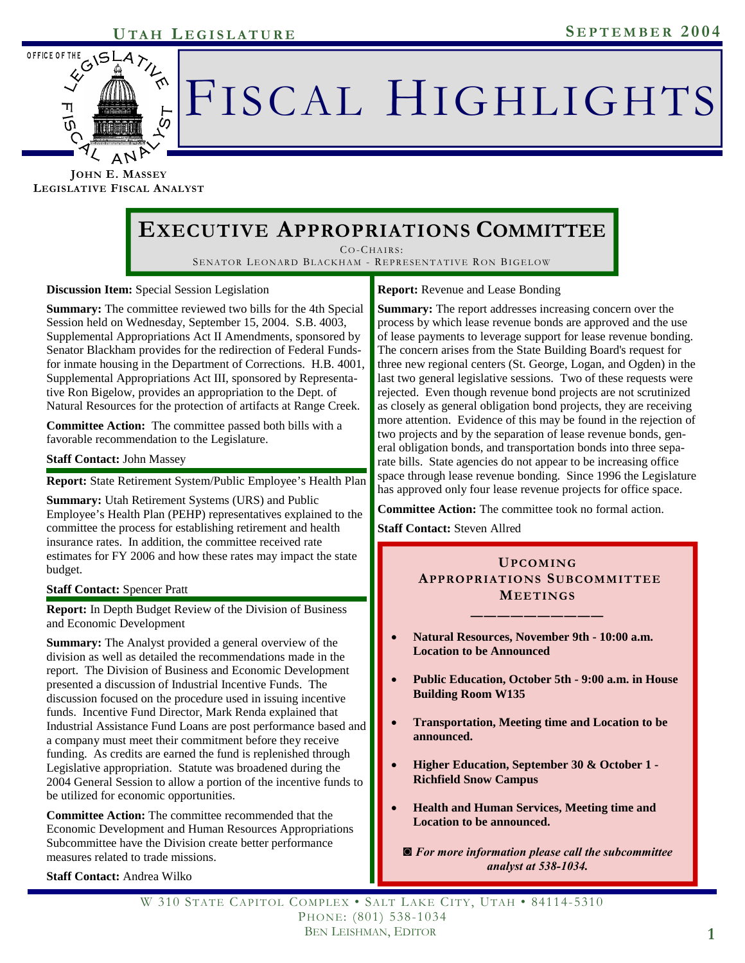## **UTAH S EPTEMBER 2004 L EGISLATURE**



# FISCAL HIGHLIGHTS

**JOHN E. MASSEY LEGISLATIVE FISCAL ANALYST**

## **EXECUTIVE APPROPRIATIONS COMMITTEE**

CO-CHAIRS : SENATOR LEONARD BLACKHAM - REPRESENTATIVE RON BIGELOW

**Discussion Item:** Special Session Legislation

**Summary:** The committee reviewed two bills for the 4th Special Session held on Wednesday, September 15, 2004. S.B. 4003, Supplemental Appropriations Act II Amendments, sponsored by Senator Blackham provides for the redirection of Federal Fundsfor inmate housing in the Department of Corrections. H.B. 4001, Supplemental Appropriations Act III, sponsored by Representative Ron Bigelow, provides an appropriation to the Dept. of Natural Resources for the protection of artifacts at Range Creek.

**Committee Action:** The committee passed both bills with a favorable recommendation to the Legislature.

#### **Staff Contact:** John Massey

**Report:** State Retirement System/Public Employee's Health Plan

**Summary:** Utah Retirement Systems (URS) and Public Employee's Health Plan (PEHP) representatives explained to the committee the process for establishing retirement and health insurance rates. In addition, the committee received rate estimates for FY 2006 and how these rates may impact the state budget.

#### **Staff Contact:** Spencer Pratt

**Report:** In Depth Budget Review of the Division of Business and Economic Development

**Summary:** The Analyst provided a general overview of the division as well as detailed the recommendations made in the report. The Division of Business and Economic Development presented a discussion of Industrial Incentive Funds. The discussion focused on the procedure used in issuing incentive funds. Incentive Fund Director, Mark Renda explained that Industrial Assistance Fund Loans are post performance based and a company must meet their commitment before they receive funding. As credits are earned the fund is replenished through Legislative appropriation. Statute was broadened during the 2004 General Session to allow a portion of the incentive funds to be utilized for economic opportunities.

**Committee Action:** The committee recommended that the Economic Development and Human Resources Appropriations Subcommittee have the Division create better performance measures related to trade missions.

#### **Staff Contact:** Andrea Wilko

**Report:** Revenue and Lease Bonding

**Summary:** The report addresses increasing concern over the process by which lease revenue bonds are approved and the use of lease payments to leverage support for lease revenue bonding. The concern arises from the State Building Board's request for three new regional centers (St. George, Logan, and Ogden) in the last two general legislative sessions. Two of these requests were rejected. Even though revenue bond projects are not scrutinized as closely as general obligation bond projects, they are receiving more attention. Evidence of this may be found in the rejection of two projects and by the separation of lease revenue bonds, general obligation bonds, and transportation bonds into three separate bills. State agencies do not appear to be increasing office space through lease revenue bonding. Since 1996 the Legislature has approved only four lease revenue projects for office space.

**Committee Action:** The committee took no formal action.

**Staff Contact:** Steven Allred

#### **UPCOMING APPROPRIATIONS SUBCOMMITTEE MEETINGS**

**——————————** 

- **Natural Resources, November 9th 10:00 a.m. Location to be Announced**
- **Public Education, October 5th 9:00 a.m. in House Building Room W135**
- **Transportation, Meeting time and Location to be announced.**
- **Higher Education, September 30 & October 1 Richfield Snow Campus**
- **Health and Human Services, Meeting time and Location to be announced.**

*◙ For more information please call the subcommittee analyst at 538-1034.*